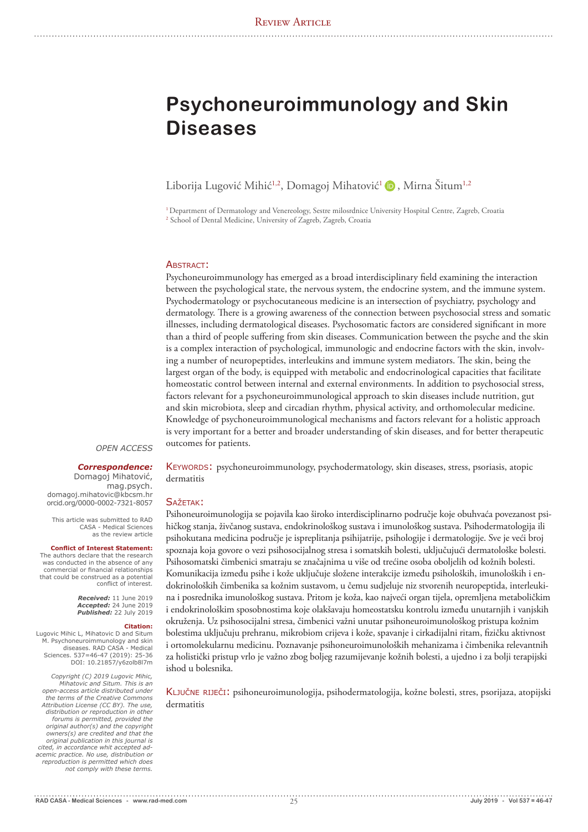# **Psychoneuroimmunology and Skin Diseases**

Liborija Lugović Mihić<sup>1,2</sup>, Domagoj Mihatović<sup>1</sup> (D , Mirna Šitum<sup>1,2</sup>

<sup>1</sup> Department of Dermatology and Venereology, Sestre milosrdnice University Hospital Centre, Zagreb, Croatia 2 School of Dental Medicine, University of Zagreb, Zagreb, Croatia

#### Abstract:

Psychoneuroimmunology has emerged as a broad interdisciplinary field examining the interaction between the psychological state, the nervous system, the endocrine system, and the immune system. Psychodermatology or psychocutaneous medicine is an intersection of psychiatry, psychology and dermatology. There is a growing awareness of the connection between psychosocial stress and somatic illnesses, including dermatological diseases. Psychosomatic factors are considered significant in more than a third of people suffering from skin diseases. Communication between the psyche and the skin is a complex interaction of psychological, immunologic and endocrine factors with the skin, involving a number of neuropeptides, interleukins and immune system mediators. The skin, being the largest organ of the body, is equipped with metabolic and endocrinological capacities that facilitate homeostatic control between internal and external environments. In addition to psychosocial stress, factors relevant for a psychoneuroimmunological approach to skin diseases include nutrition, gut and skin microbiota, sleep and circadian rhythm, physical activity, and orthomolecular medicine. Knowledge of psychoneuroimmunological mechanisms and factors relevant for a holistic approach is very important for a better and broader understanding of skin diseases, and for better therapeutic outcomes for patients.

*OPEN ACCESS*

#### *Correspondence:*

Domagoj Mihatović, mag.psych. domagoj.mihatovic@kbcsm.hr orcid.org/0000-0002-7321-8057

This article was submitted to RAD CASA - Medical Sciences as the review article

#### **Conflict of Interest Statement:**

The authors declare that the research was conducted in the absence of any commercial or financial relationships that could be construed as a potential conflict of interest.

> *Received:* 11 June 2019 *Accepted:* 24 June 2019 *Published:* 22 July 2019

## **Citation:**

Lugovic Mihic L, Mihatovic D and Situm M. Psychoneuroimmunology and skin diseases. RAD CASA - Medical Sciences. 537=46-47 (2019): 25-36 DOI: 10.21857/y6zolb8l7m

*Copyright (C) 2019 Lugovic Mihic, Mihatovic and Situm. This is an open-access article distributed under the terms of the Creative Commons Attribution License (CC BY). The use, distribution or reproduction in other forums is permitted, provided the original author(s) and the copyright owners(s) are credited and that the original publication in this journal is cited, in accordance whit accepted adacemic practice. No use, distribution or reproduction is permitted which does not comply with these terms.* 

Keywords: psychoneuroimmunology, psychodermatology, skin diseases, stress, psoriasis, atopic dermatitis

#### SAŽETAK<sup>\*</sup>

Psihoneuroimunologija se pojavila kao široko interdisciplinarno područje koje obuhvaća povezanost psihičkog stanja, živčanog sustava, endokrinološkog sustava i imunološkog sustava. Psihodermatologija ili psihokutana medicina područje je ispreplitanja psihijatrije, psihologije i dermatologije. Sve je veći broj spoznaja koja govore o vezi psihosocijalnog stresa i somatskih bolesti, uključujući dermatološke bolesti. Psihosomatski čimbenici smatraju se značajnima u više od trećine osoba oboljelih od kožnih bolesti. Komunikacija između psihe i kože uključuje složene interakcije između psiholoških, imunoloških i endokrinoloških čimbenika sa kožnim sustavom, u čemu sudjeluje niz stvorenih neuropeptida, interleukina i posrednika imunološkog sustava. Pritom je koža, kao najveći organ tijela, opremljena metaboličkim i endokrinološkim sposobnostima koje olakšavaju homeostatsku kontrolu između unutarnjih i vanjskih okruženja. Uz psihosocijalni stresa, čimbenici važni unutar psihoneuroimunološkog pristupa kožnim bolestima uključuju prehranu, mikrobiom crijeva i kože, spavanje i cirkadijalni ritam, fizičku aktivnost i ortomolekularnu medicinu. Poznavanje psihoneuroimunoloških mehanizama i čimbenika relevantnih za holistički pristup vrlo je važno zbog boljeg razumijevanje kožnih bolesti, a ujedno i za bolji terapijski ishod u bolesnika.

Ključne riječi: psihoneuroimunologija, psihodermatologija, kožne bolesti, stres, psorijaza, atopijski dermatitis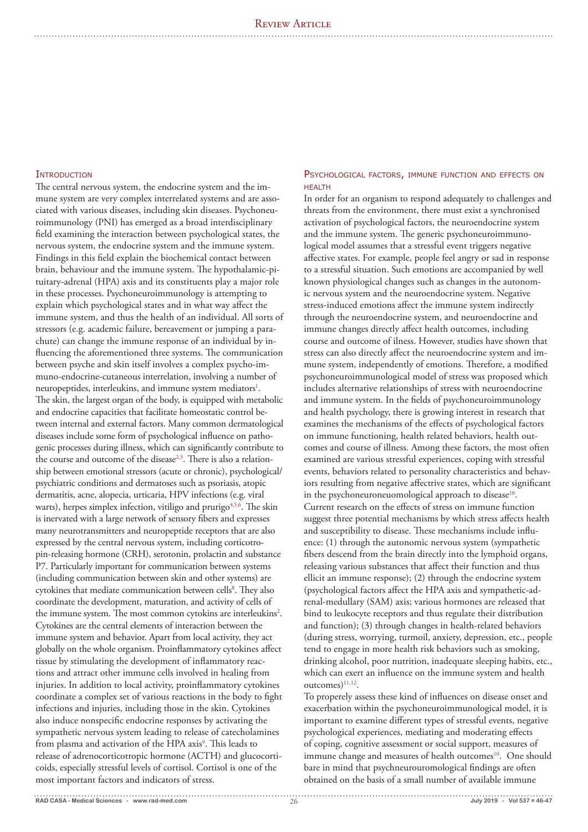## **INTRODUCTION**

The central nervous system, the endocrine system and the immune system are very complex interrelated systems and are associated with various diseases, including skin diseases. Psychoneuroimmunology (PNI) has emerged as a broad interdisciplinary field examining the interaction between psychological states, the nervous system, the endocrine system and the immune system. Findings in this field explain the biochemical contact between brain, behaviour and the immune system. The hypothalamic-pituitary-adrenal (HPA) axis and its constituents play a major role in these processes. Psychoneuroimmunology is attempting to explain which psychological states and in what way affect the immune system, and thus the health of an individual. All sorts of stressors (e.g. academic failure, bereavement or jumping a parachute) can change the immune response of an individual by influencing the aforementioned three systems. The communication between psyche and skin itself involves a complex psycho-immuno-endocrine-cutaneous interrelation, involving a number of neuropeptides, interleukins, and immune system mediators<sup>1</sup>. The skin, the largest organ of the body, is equipped with metabolic and endocrine capacities that facilitate homeostatic control between internal and external factors. Many common dermatological diseases include some form of psychological influence on pathogenic processes during illness, which can significantly contribute to the course and outcome of the disease<sup>2,3</sup>. There is also a relationship between emotional stressors (acute or chronic), psychological/ psychiatric conditions and dermatoses such as psoriasis, atopic dermatitis, acne, alopecia, urticaria, HPV infections (e.g. viral warts), herpes simplex infection, vitiligo and prurigo $4.5,6$ . The skin is inervated with a large network of sensory fibers and expresses many neurotransmitters and neuropeptide receptors that are also expressed by the central nervous system, including corticotropin-releasing hormone (CRH), serotonin, prolactin and substance P7. Particularly important for communication between systems (including communication between skin and other systems) are cytokines that mediate communication between cells<sup>8</sup>. They also coordinate the development, maturation, and activity of cells of the immune system. The most common cytokins are interleukins<sup>2</sup>. Cytokines are the central elements of interaction between the immune system and behavior. Apart from local activity, they act globally on the whole organism. Proinflammatory cytokines affect tissue by stimulating the development of inflammatory reactions and attract other immune cells involved in healing from injuries. In addition to local activity, proinflammatory cytokines coordinate a complex set of various reactions in the body to fight infections and injuries, including those in the skin. Cytokines also induce nonspecific endocrine responses by activating the sympathetic nervous system leading to release of catecholamines from plasma and activation of the HPA axis<sup>9</sup>. This leads to release of adrenocorticotropic hormone (ACTH) and glucocorticoids, especially stressful levels of cortisol. Cortisol is one of the most important factors and indicators of stress.

## PSYCHOLOGICAL FACTORS, IMMUNE FUNCTION AND EFFECTS ON health

In order for an organism to respond adequately to challenges and threats from the environment, there must exist a synchronised activation of psychological factors, the neuroendocrine system and the immune system. The generic psychoneuroimmunological model assumes that a stressful event triggers negative affective states. For example, people feel angry or sad in response to a stressful situation. Such emotions are accompanied by well known physiological changes such as changes in the autonomic nervous system and the neuroendocrine system. Negative stress-induced emotions affect the immune system indirectly through the neuroendocrine system, and neuroendocrine and immune changes directly affect health outcomes, including course and outcome of ilness. However, studies have shown that stress can also directly affect the neuroendocrine system and immune system, independently of emotions. Therefore, a modified psychoneuroimmunological model of stress was proposed which includes alternative relationships of stress with neuroendocrine and immune system. In the fields of psychoneuroimmunology and health psychology, there is growing interest in research that examines the mechanisms of the effects of psychological factors on immune functioning, health related behaviors, health outcomes and course of illness. Among these factors, the most often examined are various stressful experiences, coping with stressful events, behaviors related to personality characteristics and behaviors resulting from negative affectrive states, which are significant in the psychoneuroneuomological approach to disease<sup>10</sup>. Current research on the effects of stress on immune function suggest three potential mechanisms by which stress affects health and susceptibility to disease. These mechanisms include influence: (1) through the autonomic nervous system (sympathetic fibers descend from the brain directly into the lymphoid organs, releasing various substances that affect their function and thus ellicit an immune response); (2) through the endocrine system (psychological factors affect the HPA axis and sympathetic-adrenal-medullary (SAM) axis; various hormones are released that bind to leukocyte receptors and thus regulate their distribution and function); (3) through changes in health-related behaviors (during stress, worrying, turmoil, anxiety, depression, etc., people tend to engage in more health risk behaviors such as smoking, drinking alcohol, poor nutrition, inadequate sleeping habits, etc., which can exert an influence on the immune system and health outcomes)<sup>11,12</sup>.

To properely assess these kind of influences on disease onset and exacerbation within the psychoneuroimmunological model, it is important to examine different types of stressful events, negative psychological experiences, mediating and moderating effects of coping, cognitive assessment or social support, measures of immune change and measures of health outcomes<sup>10</sup>. One should bare in mind that psychneurouromological findings are often obtained on the basis of a small number of available immune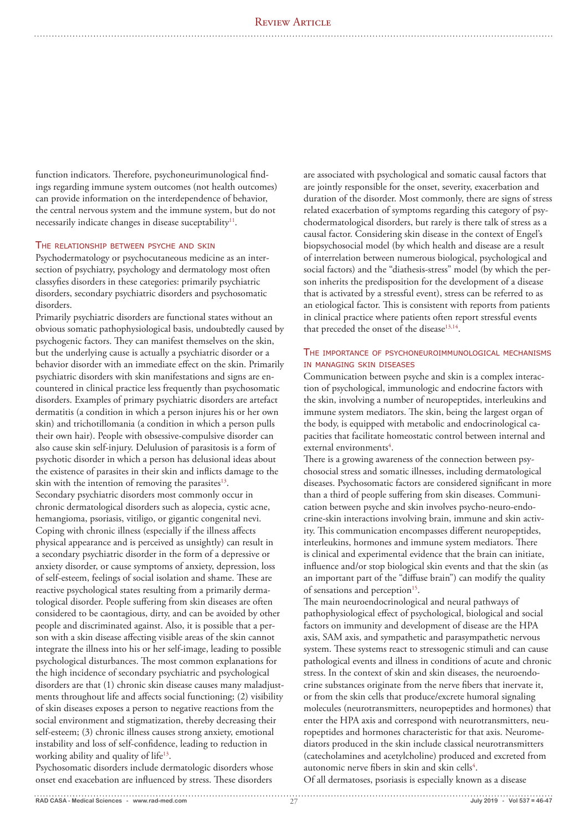function indicators. Therefore, psychoneurimunological findings regarding immune system outcomes (not health outcomes) can provide information on the interdependence of behavior, the central nervous system and the immune system, but do not necessarily indicate changes in disease suceptability<sup>11</sup>.

#### The relationship between psyche and skin

Psychodermatology or psychocutaneous medicine as an intersection of psychiatry, psychology and dermatology most often classyfies disorders in these categories: primarily psychiatric disorders, secondary psychiatric disorders and psychosomatic disorders.

Primarily psychiatric disorders are functional states without an obvious somatic pathophysiological basis, undoubtedly caused by psychogenic factors. They can manifest themselves on the skin, but the underlying cause is actually a psychiatric disorder or a behavior disorder with an immediate effect on the skin. Primarily psychiatric disorders with skin manifestations and signs are encountered in clinical practice less frequently than psychosomatic disorders. Examples of primary psychiatric disorders are artefact dermatitis (a condition in which a person injures his or her own skin) and trichotillomania (a condition in which a person pulls their own hair). People with obsessive-compulsive disorder can also cause skin self-injury. Delulusion of parasitosis is a form of psychotic disorder in which a person has delusional ideas about the existence of parasites in their skin and inflicts damage to the skin with the intention of removing the parasites $13$ . Secondary psychiatric disorders most commonly occur in chronic dermatological disorders such as alopecia, cystic acne, hemangioma, psoriasis, vitiligo, or gigantic congenital nevi. Coping with chronic illness (especially if the illness affects physical appearance and is perceived as unsightly) can result in a secondary psychiatric disorder in the form of a depressive or anxiety disorder, or cause symptoms of anxiety, depression, loss of self-esteem, feelings of social isolation and shame. These are reactive psychological states resulting from a primarily dermatological disorder. People suffering from skin diseases are often considered to be caontagious, dirty, and can be avoided by other people and discriminated against. Also, it is possible that a person with a skin disease affecting visible areas of the skin cannot integrate the illness into his or her self-image, leading to possible psychological disturbances. The most common explanations for the high incidence of secondary psychiatric and psychological disorders are that (1) chronic skin disease causes many maladjustments throughout life and affects social functioning; (2) visibility of skin diseases exposes a person to negative reactions from the social environment and stigmatization, thereby decreasing their self-esteem; (3) chronic illness causes strong anxiety, emotional instability and loss of self-confidence, leading to reduction in working ability and quality of life<sup>13</sup>.

Psychosomatic disorders include dermatologic disorders whose onset end exacebation are influenced by stress. These disorders

are associated with psychological and somatic causal factors that are jointly responsible for the onset, severity, exacerbation and duration of the disorder. Most commonly, there are signs of stress related exacerbation of symptoms regarding this category of psychodermatological disorders, but rarely is there talk of stress as a causal factor. Considering skin disease in the context of Engel's biopsychosocial model (by which health and disease are a result of interrelation between numerous biological, psychological and social factors) and the "diathesis-stress" model (by which the person inherits the predisposition for the development of a disease that is activated by a stressful event), stress can be referred to as an etiological factor. This is consistent with reports from patients in clinical practice where patients often report stressful events that preceded the onset of the disease<sup>13,14</sup>.

# The importance of psychoneuroimmunological mechanisms in managing skin diseases

Communication between psyche and skin is a complex interaction of psychological, immunologic and endocrine factors with the skin, involving a number of neuropeptides, interleukins and immune system mediators. The skin, being the largest organ of the body, is equipped with metabolic and endocrinological capacities that facilitate homeostatic control between internal and external environments<sup>4</sup>.

There is a growing awareness of the connection between psychosocial stress and somatic illnesses, including dermatological diseases. Psychosomatic factors are considered significant in more than a third of people suffering from skin diseases. Communication between psyche and skin involves psycho-neuro-endocrine-skin interactions involving brain, immune and skin activity. This communication encompasses different neuropeptides, interleukins, hormones and immune system mediators. There is clinical and experimental evidence that the brain can initiate, influence and/or stop biological skin events and that the skin (as an important part of the "diffuse brain") can modify the quality of sensations and perception<sup>15</sup>.

The main neuroendocrinological and neural pathways of pathophysiological effect of psychological, biological and social factors on immunity and development of disease are the HPA axis, SAM axis, and sympathetic and parasympathetic nervous system. These systems react to stressogenic stimuli and can cause pathological events and illness in conditions of acute and chronic stress. In the context of skin and skin diseases, the neuroendocrine substances originate from the nerve fibers that inervate it, or from the skin cells that produce/excrete humoral signaling molecules (neurotransmitters, neuropeptides and hormones) that enter the HPA axis and correspond with neurotransmitters, neuropeptides and hormones characteristic for that axis. Neuromediators produced in the skin include classical neurotransmitters (catecholamines and acetylcholine) produced and excreted from autonomic nerve fibers in skin and skin cells<sup>4</sup>.

Of all dermatoses, psoriasis is especially known as a disease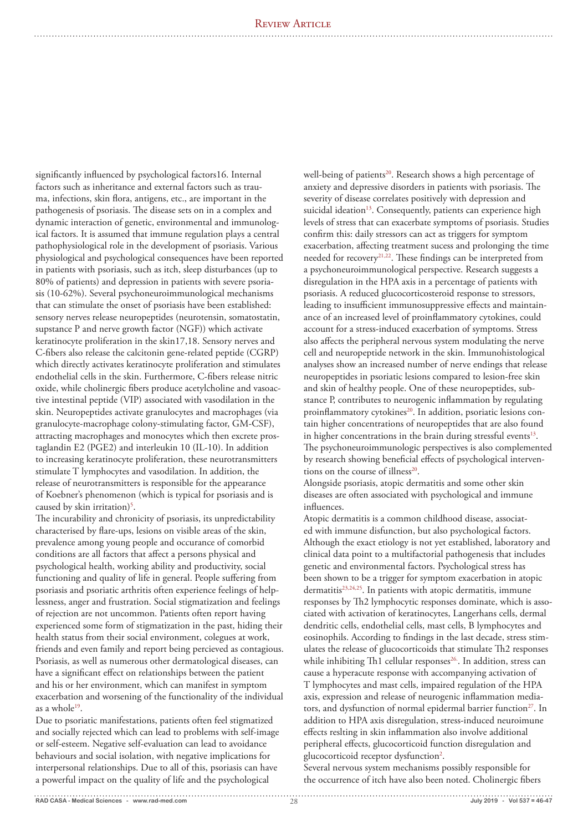significantly influenced by psychological factors16. Internal factors such as inheritance and external factors such as trauma, infections, skin flora, antigens, etc., are important in the pathogenesis of psoriasis. The disease sets on in a complex and dynamic interaction of genetic, environmental and immunological factors. It is assumed that immune regulation plays a central pathophysiological role in the development of psoriasis. Various physiological and psychological consequences have been reported in patients with psoriasis, such as itch, sleep disturbances (up to 80% of patients) and depression in patients with severe psoriasis (10-62%). Several psychoneuroimmunological mechanisms that can stimulate the onset of psoriasis have been established: sensory nerves release neuropeptides (neurotensin, somatostatin, supstance P and nerve growth factor (NGF)) which activate keratinocyte proliferation in the skin17,18. Sensory nerves and C-fibers also release the calcitonin gene-related peptide (CGRP) which directly activates keratinocyte proliferation and stimulates endothelial cells in the skin. Furthermore, C-fibers release nitric oxide, while cholinergic fibers produce acetylcholine and vasoactive intestinal peptide (VIP) associated with vasodilation in the skin. Neuropeptides activate granulocytes and macrophages (via granulocyte-macrophage colony-stimulating factor, GM-CSF), attracting macrophages and monocytes which then excrete prostaglandin E2 (PGE2) and interleukin 10 (IL-10). In addition to increasing keratinocyte proliferation, these neurotransmitters stimulate T lymphocytes and vasodilation. In addition, the release of neurotransmitters is responsible for the appearance of Koebner's phenomenon (which is typical for psoriasis and is caused by skin irritation)<sup>5</sup>.

The incurability and chronicity of psoriasis, its unpredictability characterised by flare-ups, lesions on visible areas of the skin, prevalence among young people and occurance of comorbid conditions are all factors that affect a persons physical and psychological health, working ability and productivity, social functioning and quality of life in general. People suffering from psoriasis and psoriatic arthritis often experience feelings of helplessness, anger and frustration. Social stigmatization and feelings of rejection are not uncommon. Patients often report having experienced some form of stigmatization in the past, hiding their health status from their social environment, colegues at work, friends and even family and report being percieved as contagious. Psoriasis, as well as numerous other dermatological diseases, can have a significant effect on relationships between the patient and his or her environment, which can manifest in symptom exacerbation and worsening of the functionality of the individual as a whole19.

Due to psoriatic manifestations, patients often feel stigmatized and socially rejected which can lead to problems with self-image or self-esteem. Negative self-evaluation can lead to avoidance behaviours and social isolation, with negative implications for interpersonal relationships. Due to all of this, psoriasis can have a powerful impact on the quality of life and the psychological

well-being of patients<sup>20</sup>. Research shows a high percentage of anxiety and depressive disorders in patients with psoriasis. The severity of disease correlates positively with depression and suicidal ideation<sup>13</sup>. Consequently, patients can experience high levels of stress that can exacerbate symptoms of psoriasis. Studies confirm this: daily stressors can act as triggers for symptom exacerbation, affecting treatment sucess and prolonging the time needed for recovery<sup>21,22</sup>. These findings can be interpreted from a psychoneuroimmunological perspective. Research suggests a disregulation in the HPA axis in a percentage of patients with psoriasis. A reduced glucocorticosteroid response to stressors, leading to insufficient immunosuppressive effects and maintainance of an increased level of proinflammatory cytokines, could account for a stress-induced exacerbation of symptoms. Stress also affects the peripheral nervous system modulating the nerve cell and neuropeptide network in the skin. Immunohistological analyses show an increased number of nerve endings that release neuropeptides in psoriatic lesions compared to lesion-free skin and skin of healthy people. One of these neuropeptides, substance P, contributes to neurogenic inflammation by regulating proinflammatory cytokines<sup>20</sup>. In addition, psoriatic lesions contain higher concentrations of neuropeptides that are also found in higher concentrations in the brain during stressful events<sup>13</sup>. The psychoneuroimmunologic perspectives is also complemented by research showing beneficial effects of psychological interventions on the course of illness<sup>20</sup>.

Alongside psoriasis, atopic dermatitis and some other skin diseases are often associated with psychological and immune influences.

Atopic dermatitis is a common childhood disease, associated with immune disfunction, but also psychological factors. Although the exact etiology is not yet established, laboratory and clinical data point to a multifactorial pathogenesis that includes genetic and environmental factors. Psychological stress has been shown to be a trigger for symptom exacerbation in atopic dermatitis<sup>23,24,25</sup>. In patients with atopic dermatitis, immune responses by Th2 lymphocytic responses dominate, which is associated with activation of keratinocytes, Langerhans cells, dermal dendritic cells, endothelial cells, mast cells, B lymphocytes and eosinophils. According to findings in the last decade, stress stimulates the release of glucocorticoids that stimulate Th2 responses while inhibiting Th1 cellular responses<sup>26</sup>. In addition, stress can cause a hyperacute response with accompanying activation of T lymphocytes and mast cells, impaired regulation of the HPA axis, expression and release of neurogenic inflammation mediators, and dysfunction of normal epidermal barrier function<sup>27</sup>. In addition to HPA axis disregulation, stress-induced neuroimune effects reslting in skin inflammation also involve additional peripheral effects, glucocorticoid function disregulation and glucocorticoid receptor dysfunction<sup>2</sup>.

Several nervous system mechanisms possibly responsible for the occurrence of itch have also been noted. Cholinergic fibers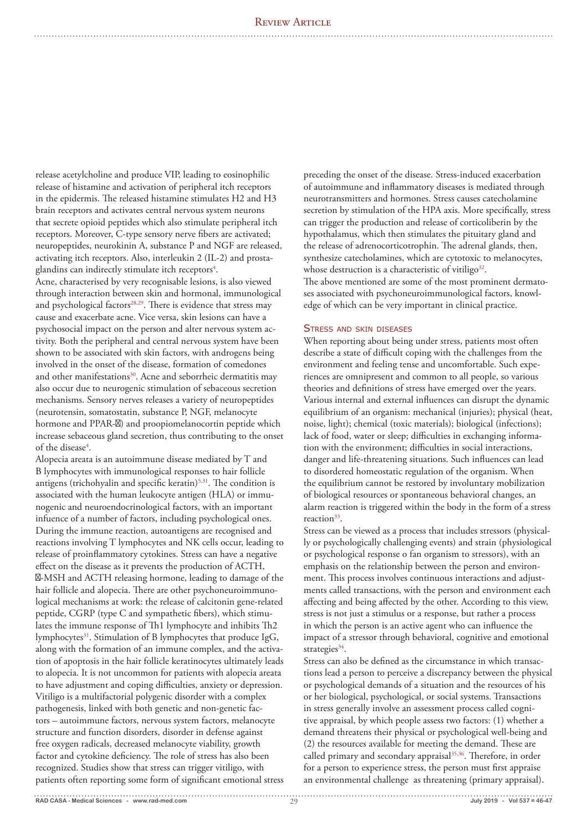release acetylcholine and produce VIP, leading to eosinophilic release of histamine and activation of peripheral itch receptors in the epidermis. The released histamine stimulates H2 and H3 brain receptors and activates central nervous system neurons that secrete opioid peptides which also stimulate peripheral itch receptors. Moreover, C-type sensory nerve fibers are activated; neuropeptides, neurokinin A, substance P and NGF are released, activating itch receptors. Also, interleukin 2 (IL-2) and prostaglandins can indirectly stimulate itch receptors $4$ . Acne, characterised by very recognisable lesions, is also viewed through interaction between skin and hormonal, immunological and psychological factors<sup>28,29</sup>. There is evidence that stress may cause and exacerbate acne. Vice versa, skin lesions can have a psychosocial impact on the person and alter nervous system activity. Both the peripheral and central nervous system have been shown to be associated with skin factors, with androgens being involved in the onset of the disease, formation of comedones and other manifestations<sup>30</sup>. Acne and seborrheic dermatitis may also occur due to neurogenic stimulation of sebaceous secretion mechanisms. Sensory nerves releases a variety of neuropeptides (neurotensin, somatostatin, substance P, NGF, melanocyte hormone and PPAR-) and proopiomelanocortin peptide which increase sebaceous gland secretion, thus contributing to the onset of the disease<sup>4</sup>.

Alopecia areata is an autoimmune disease mediated by T and B lymphocytes with immunological responses to hair follicle antigens (trichohyalin and specific keratin) $5,31$ . The condition is associated with the human leukocyte antigen (HLA) or immunogenic and neuroendocrinological factors, with an important infuence of a number of factors, including psychological ones. During the immune reaction, autoantigens are recognised and reactions involving T lymphocytes and NK cells occur, leading to release of proinflammatory cytokines. Stress can have a negative effect on the disease as it prevents the production of ACTH,

-MSH and ACTH releasing hormone, leading to damage of the hair follicle and alopecia. There are other psychoneuroimmunological mechanisms at work: the release of calcitonin gene-related peptide, CGRP (type C and sympathetic fibers), which stimulates the immune response of Th1 lymphocyte and inhibits Th2 lymphocytes<sup>31</sup>. Stimulation of B lymphocytes that produce IgG, along with the formation of an immune complex, and the activation of apoptosis in the hair follicle keratinocytes ultimately leads to alopecia. It is not uncommon for patients with alopecia areata to have adjustment and coping difficulties, anxiety or depression. Vitiligo is a multifactorial polygenic disorder with a complex pathogenesis, linked with both genetic and non-genetic factors – autoimmune factors, nervous system factors, melanocyte structure and function disorders, disorder in defense against free oxygen radicals, decreased melanocyte viability, growth factor and cytokine deficiency. The role of stress has also been recognized. Studies show that stress can trigger vitiligo, with patients often reporting some form of significant emotional stress

preceding the onset of the disease. Stress-induced exacerbation of autoimmune and inflammatory diseases is mediated through neurotransmitters and hormones. Stress causes catecholamine secretion by stimulation of the HPA axis. More specifically, stress can trigger the production and release of corticoliberin by the hypothalamus, which then stimulates the pituitary gland and the release of adrenocorticotrophin. The adrenal glands, then, synthesize catecholamines, which are cytotoxic to melanocytes, whose destruction is a characteristic of vitiligo $32$ .

The above mentioned are some of the most prominent dermatoses associated with psychoneuroimmunological factors, knowledge of which can be very important in clinical practice.

## Stress and skin diseases

When reporting about being under stress, patients most often describe a state of difficult coping with the challenges from the environment and feeling tense and uncomfortable. Such experiences are omnipresent and common to all people, so various theories and definitions of stress have emerged over the years. Various internal and external influences can disrupt the dynamic equilibrium of an organism: mechanical (injuries); physical (heat, noise, light); chemical (toxic materials); biological (infections); lack of food, water or sleep; difficulties in exchanging information with the environment; difficulties in social interactions, danger and life-threatening situations. Such influences can lead to disordered homeostatic regulation of the organism. When the equilibrium cannot be restored by involuntary mobilization of biological resources or spontaneous behavioral changes, an alarm reaction is triggered within the body in the form of a stress reaction33.

Stress can be viewed as a process that includes stressors (physically or psychologically challenging events) and strain (physiological or psychological response o fan organism to stressors), with an emphasis on the relationship between the person and environment. This process involves continuous interactions and adjustments called transactions, with the person and environment each affecting and being affected by the other. According to this view, stress is not just a stimulus or a response, but rather a process in which the person is an active agent who can influence the impact of a stressor through behavioral, cognitive and emotional strategies $34$ .

Stress can also be defined as the circumstance in which transactions lead a person to perceive a discrepancy between the physical or psychological demands of a situation and the resources of his or her biological, psychological, or social systems. Transactions in stress generally involve an assessment process called cognitive appraisal, by which people assess two factors: (1) whether a demand threatens their physical or psychological well-being and (2) the resources available for meeting the demand. These are called primary and secondary appraisal<sup>35,36</sup>. Therefore, in order for a person to experience stress, the person must first appraise an environmental challenge as threatening (primary appraisal).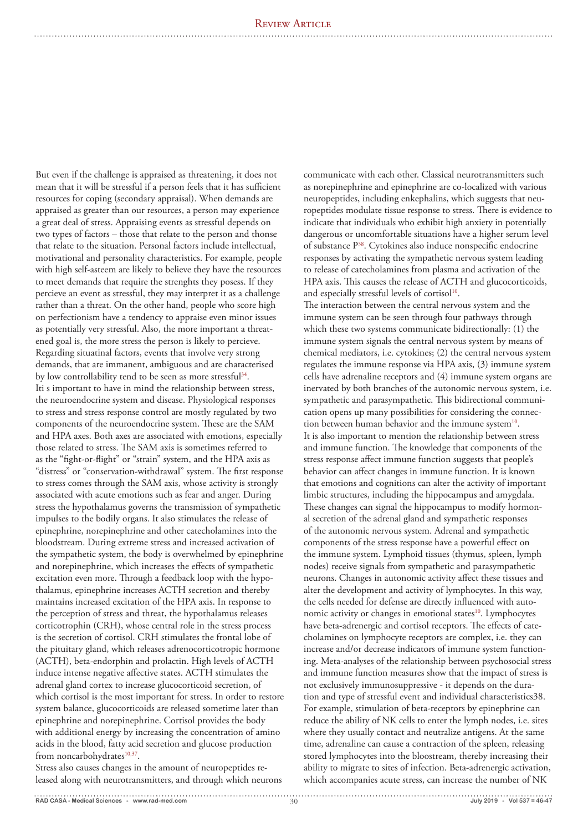But even if the challenge is appraised as threatening, it does not mean that it will be stressful if a person feels that it has sufficient resources for coping (secondary appraisal). When demands are appraised as greater than our resources, a person may experience a great deal of stress. Appraising events as stressful depends on two types of factors – those that relate to the person and thonse that relate to the situation. Personal factors include intellectual, motivational and personality characteristics. For example, people with high self-asteem are likely to believe they have the resources to meet demands that require the strenghts they posess. If they percieve an event as stressful, they may interpret it as a challenge rather than a threat. On the other hand, people who score high on perfectionism have a tendency to appraise even minor issues as potentially very stressful. Also, the more important a threatened goal is, the more stress the person is likely to percieve. Regarding situatinal factors, events that involve very strong demands, that are immanent, ambiguous and are characterised by low controllability tend to be seen as more stressful<sup>34</sup>. Iti s important to have in mind the relationship between stress, the neuroendocrine system and disease. Physiological responses to stress and stress response control are mostly regulated by two components of the neuroendocrine system. These are the SAM and HPA axes. Both axes are associated with emotions, especially those related to stress. The SAM axis is sometimes referred to as the "fight-or-flight" or "strain" system, and the HPA axis as "distress" or "conservation-withdrawal" system. The first response to stress comes through the SAM axis, whose activity is strongly associated with acute emotions such as fear and anger. During stress the hypothalamus governs the transmission of sympathetic impulses to the bodily organs. It also stimulates the release of epinephrine, norepinephrine and other catecholamines into the bloodstream. During extreme stress and increased activation of the sympathetic system, the body is overwhelmed by epinephrine and norepinephrine, which increases the effects of sympathetic excitation even more. Through a feedback loop with the hypothalamus, epinephrine increases ACTH secretion and thereby maintains increased excitation of the HPA axis. In response to the perception of stress and threat, the hypothalamus releases corticotrophin (CRH), whose central role in the stress process is the secretion of cortisol. CRH stimulates the frontal lobe of the pituitary gland, which releases adrenocorticotropic hormone (ACTH), beta-endorphin and prolactin. High levels of ACTH induce intense negative affective states. ACTH stimulates the adrenal gland cortex to increase glucocorticoid secretion, of which cortisol is the most important for stress. In order to restore system balance, glucocorticoids are released sometime later than epinephrine and norepinephrine. Cortisol provides the body with additional energy by increasing the concentration of amino acids in the blood, fatty acid secretion and glucose production from noncarbohydrates $10,37$ .

Stress also causes changes in the amount of neuropeptides released along with neurotransmitters, and through which neurons

communicate with each other. Classical neurotransmitters such as norepinephrine and epinephrine are co-localized with various neuropeptides, including enkephalins, which suggests that neuropeptides modulate tissue response to stress. There is evidence to indicate that individuals who exhibit high anxiety in potentially dangerous or uncomfortable situations have a higher serum level of substance P38. Cytokines also induce nonspecific endocrine responses by activating the sympathetic nervous system leading to release of catecholamines from plasma and activation of the HPA axis. This causes the release of ACTH and glucocorticoids, and especially stressful levels of cortisol<sup>10</sup>.

The interaction between the central nervous system and the immune system can be seen through four pathways through which these two systems communicate bidirectionally: (1) the immune system signals the central nervous system by means of chemical mediators, i.e. cytokines; (2) the central nervous system regulates the immune response via HPA axis, (3) immune system cells have adrenaline receptors and (4) immune system organs are inervated by both branches of the autonomic nervous system, i.e. sympathetic and parasympathetic. This bidirectional communication opens up many possibilities for considering the connection between human behavior and the immune system<sup>10</sup>. It is also important to mention the relationship between stress and immune function. The knowledge that components of the stress response affect immune function suggests that people's behavior can affect changes in immune function. It is known that emotions and cognitions can alter the activity of important limbic structures, including the hippocampus and amygdala. These changes can signal the hippocampus to modify hormonal secretion of the adrenal gland and sympathetic responses of the autonomic nervous system. Adrenal and sympathetic components of the stress response have a powerful effect on the immune system. Lymphoid tissues (thymus, spleen, lymph nodes) receive signals from sympathetic and parasympathetic neurons. Changes in autonomic activity affect these tissues and alter the development and activity of lymphocytes. In this way, the cells needed for defense are directly influenced with autonomic activity or changes in emotional states<sup>10</sup>. Lymphocytes have beta-adrenergic and cortisol receptors. The effects of catecholamines on lymphocyte receptors are complex, i.e. they can increase and/or decrease indicators of immune system functioning. Meta-analyses of the relationship between psychosocial stress and immune function measures show that the impact of stress is not exclusively immunosuppressive - it depends on the duration and type of stressful event and individual characteristics38. For example, stimulation of beta-receptors by epinephrine can reduce the ability of NK cells to enter the lymph nodes, i.e. sites where they usually contact and neutralize antigens. At the same time, adrenaline can cause a contraction of the spleen, releasing stored lymphocytes into the bloostream, thereby increasing their ability to migrate to sites of infection. Beta-adrenergic activation, which accompanies acute stress, can increase the number of NK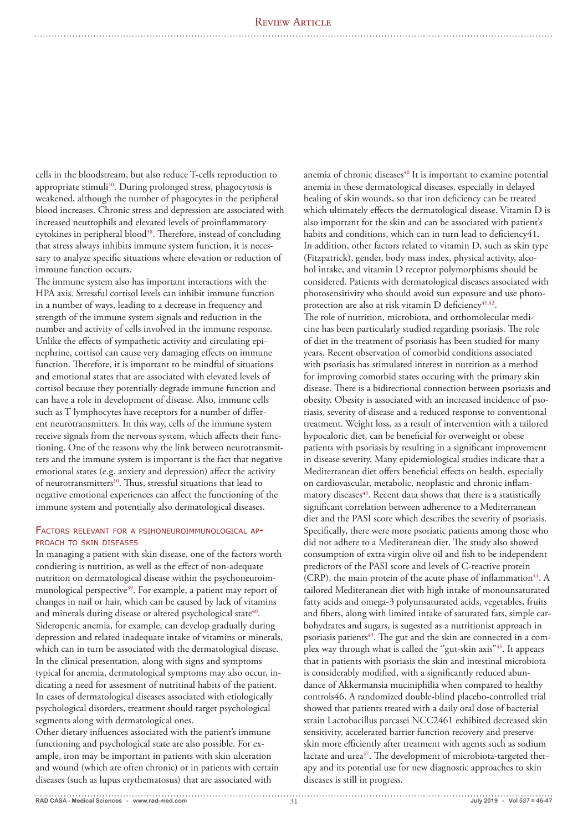cells in the bloodstream, but also reduce T-cells reproduction to appropriate stimuli<sup>10</sup>. During prolonged stress, phagocytosis is weakened, although the number of phagocytes in the peripheral blood increases. Chronic stress and depression are associated with increased neutrophils and elevated levels of proinflammatory cytokines in peripheral blood<sup>38</sup>. Therefore, instead of concluding that stress always inhibits immune system function, it is necessary to analyze specific situations where elevation or reduction of immune function occurs.

The immune system also has important interactions with the HPA axis. Stressful cortisol levels can inhibit immune function in a number of ways, leading to a decrease in frequency and strength of the immune system signals and reduction in the number and activity of cells involved in the immune response. Unlike the effects of sympathetic activity and circulating epinephrine, cortisol can cause very damaging effects on immune function. Therefore, it is important to be mindful of situations and emotional states that are associated with elevated levels of cortisol because they potentially degrade immune function and can have a role in development of disease. Also, immune cells such as T lymphocytes have receptors for a number of different neurotransmitters. In this way, cells of the immune system receive signals from the nervous system, which affects their functioning. One of the reasons why the link between neurotransmitters and the immune system is important is the fact that negative emotional states (e.g. anxiety and depression) affect the activity of neurotransmitters<sup>10</sup>. Thus, stressful situations that lead to negative emotional experiences can affect the functioning of the immune system and potentially also dermatological diseases.

# Factors relevant for <sup>a</sup> psihoneuroimmunological approach to skin diseases

In managing a patient with skin disease, one of the factors worth condiering is nutrition, as well as the effect of non-adequate nutrition on dermatological disease within the psychoneuroimmunological perspective<sup>39</sup>. For example, a patient may report of changes in nail or hair, which can be caused by lack of vitamins and minerals during disease or altered psychological state<sup>40</sup>. Sideropenic anemia, for example, can develop gradually during depression and related inadequate intake of vitamins or minerals, which can in turn be associated with the dermatological disease. In the clinical presentation, along with signs and symptoms typical for anemia, dermatological symptoms may also occur, indicating a need for assesment of nutritinal habits of the patient. In cases of dermatological diseases associated with etiologically psychological disorders, treatment should target psychological segments along with dermatological ones.

Other dietary influences associated with the patient's immune functioning and psychological state are also possible. For example, iron may be important in patients with skin ulceration and wound (which are often chronic) or in patients with certain diseases (such as lupus erythematosus) that are associated with

anemia of chronic diseases<sup>40</sup> It is important to examine potential anemia in these dermatological diseases, especially in delayed healing of skin wounds, so that iron deficiency can be treated which ultimately effects the dermatological disease. Vitamin D is also important for the skin and can be associated with patient's habits and conditions, which can in turn lead to deficiency41. In addition, other factors related to vitamin D, such as skin type (Fitzpatrick), gender, body mass index, physical activity, alcohol intake, and vitamin D receptor polymorphisms should be considered. Patients with dermatological diseases associated with photosensitivity who should avoid sun exposure and use photoprotection are also at risk vitamin D deficiency $41,42$ . The role of nutrition, microbiota, and orthomolecular medicine has been particularly studied regarding psoriasis. The role of diet in the treatment of psoriasis has been studied for many years. Recent observation of comorbid conditions associated with psoriasis has stimulated interest in nutrition as a method for improving comorbid states occuring with the primary skin disease. There is a bidirectional connection between psoriasis and obesity. Obesity is associated with an increased incidence of psoriasis, severity of disease and a reduced response to conventional treatment. Weight loss, as a result of intervention with a tailored hypocaloric diet, can be beneficial for overweight or obese patients with psoriasis by resulting in a significant improvement in disease severity. Many epidemiological studies indicate that a Mediterranean diet offers beneficial effects on health, especially on cardiovascular, metabolic, neoplastic and chronic inflammatory diseases<sup>43</sup>. Recent data shows that there is a statistically significant correlation between adherence to a Mediterranean diet and the PASI score which describes the severity of psoriasis. Specifically, there were more psoriatic patients among those who did not adhere to a Mediteranean diet. The study also showed consumption of extra virgin olive oil and fish to be independent predictors of the PASI score and levels of C-reactive protein (CRP), the main protein of the acute phase of inflammation<sup>44</sup>. A tailored Mediteranean diet with high intake of monounsaturated fatty acids and omega-3 polyunsaturated acids, vegetables, fruits and fibers, along with limited intake of saturated fats, simple carbohydrates and sugars, is sugested as a nutritionist approach in psoriasis patients<sup>43</sup>. The gut and the skin are connected in a complex way through what is called the "gut-skin axis"<sup>45</sup>. It appears that in patients with psoriasis the skin and intestinal microbiota is considerably modified, with a significantly reduced abundance of Akkermansia muciniphilia when compared to healthy controls46. A randomized double-blind placebo-controlled trial showed that patients treated with a daily oral dose of bacterial strain Lactobacillus parcasei NCC2461 exhibited decreased skin sensitivity, accelerated barrier function recovery and preserve skin more efficiently after treatment with agents such as sodium lactate and urea<sup>47</sup>. The development of microbiota-targeted therapy and its potential use for new diagnostic approaches to skin diseases is still in progress.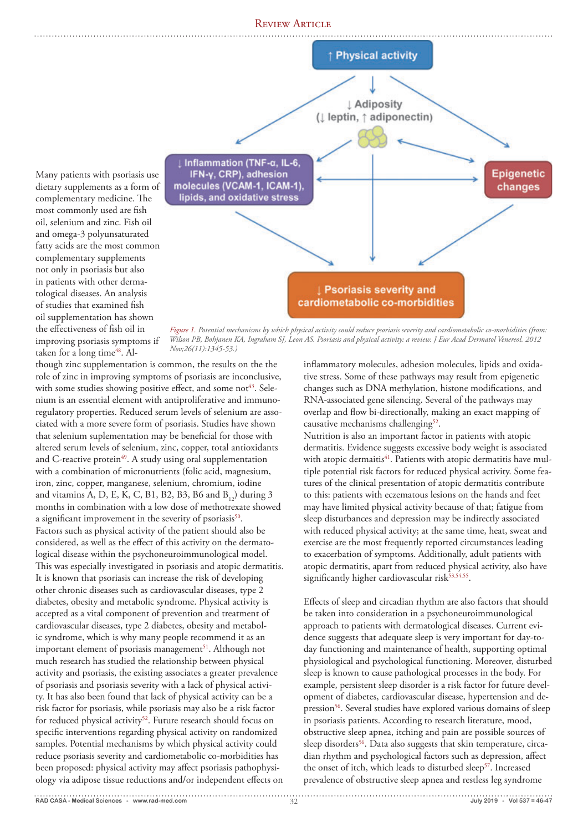## **REVIEW ARTICLE**



 *Figure 1. Potential mechanisms by which physical activity could reduce psoriasis severity and cardiometabolic co-morbidities (from: Wilson PB, Bohjanen KA, Ingraham SJ, Leon AS. Psoriasis and physical activity: a review. J Eur Acad Dermatol Venereol. 2012 Nov;26(11):1345-53.)*

though zinc supplementation is common, the results on the the role of zinc in improving symptoms of psoriasis are inconclusive, with some studies showing positive effect, and some not<sup>43</sup>. Selenium is an essential element with antiproliferative and immunoregulatory properties. Reduced serum levels of selenium are associated with a more severe form of psoriasis. Studies have shown that selenium suplementation may be beneficial for those with altered serum levels of selenium, zinc, copper, total antioxidants and C-reactive protein<sup>49</sup>. A study using oral supplementation with a combination of micronutrients (folic acid, magnesium, iron, zinc, copper, manganese, selenium, chromium, iodine and vitamins A, D, E, K, C, B1, B2, B3, B6 and  $B<sub>12</sub>$ ) during 3 months in combination with a low dose of methotrexate showed a significant improvement in the severity of psoriasis $50$ . Factors such as physical activity of the patient should also be considered, as well as the effect of this activity on the dermatological disease within the psychoneuroimmunological model. This was especially investigated in psoriasis and atopic dermatitis. It is known that psoriasis can increase the risk of developing other chronic diseases such as cardiovascular diseases, type 2 diabetes, obesity and metabolic syndrome. Physical activity is accepted as a vital component of prevention and treatment of cardiovascular diseases, type 2 diabetes, obesity and metabolic syndrome, which is why many people recommend it as an important element of psoriasis management<sup>51</sup>. Although not much research has studied the relationship between physical activity and psoriasis, the existing associates a greater prevalence of psoriasis and psoriasis severity with a lack of physical activity. It has also been found that lack of physical activity can be a risk factor for psoriasis, while psoriasis may also be a risk factor for reduced physical activity<sup>52</sup>. Future research should focus on specific interventions regarding physical activity on randomized samples. Potential mechanisms by which physical activity could reduce psoriasis severity and cardiometabolic co-morbidities has been proposed: physical activity may affect psoriasis pathophysiology via adipose tissue reductions and/or independent effects on

most commonly used are fish

and omega-3 polyunsaturated

complementary supplements not only in psoriasis but also in patients with other dermatological diseases. An analysis of studies that examined fish

the effectiveness of fish oil in improving psoriasis symptoms if taken for a long time<sup>48</sup>. Al-

> inflammatory molecules, adhesion molecules, lipids and oxidative stress. Some of these pathways may result from epigenetic changes such as DNA methylation, histone modifications, and RNA-associated gene silencing. Several of the pathways may overlap and flow bi-directionally, making an exact mapping of causative mechanisms challenging<sup>52</sup>. Nutrition is also an important factor in patients with atopic

dermatitis. Evidence suggests excessive body weight is associated with atopic dermaitis<sup>41</sup>. Patients with atopic dermatitis have multiple potential risk factors for reduced physical activity. Some features of the clinical presentation of atopic dermatitis contribute to this: patients with eczematous lesions on the hands and feet may have limited physical activity because of that; fatigue from sleep disturbances and depression may be indirectly associated with reduced physical activity; at the same time, heat, sweat and exercise are the most frequently reported circumstances leading to exacerbation of symptoms. Additionally, adult patients with atopic dermatitis, apart from reduced physical activity, also have significantly higher cardiovascular risk<sup>53,54,55</sup>.

Effects of sleep and circadian rhythm are also factors that should be taken into consideration in a psychoneuroimmunological approach to patients with dermatological diseases. Current evidence suggests that adequate sleep is very important for day-today functioning and maintenance of health, supporting optimal physiological and psychological functioning. Moreover, disturbed sleep is known to cause pathological processes in the body. For example, persistent sleep disorder is a risk factor for future development of diabetes, cardiovascular disease, hypertension and depression<sup>56</sup>. Several studies have explored various domains of sleep in psoriasis patients. According to research literature, mood, obstructive sleep apnea, itching and pain are possible sources of sleep disorders<sup>56</sup>. Data also suggests that skin temperature, circadian rhythm and psychological factors such as depression, affect the onset of itch, which leads to disturbed sleep<sup>57</sup>. Increased prevalence of obstructive sleep apnea and restless leg syndrome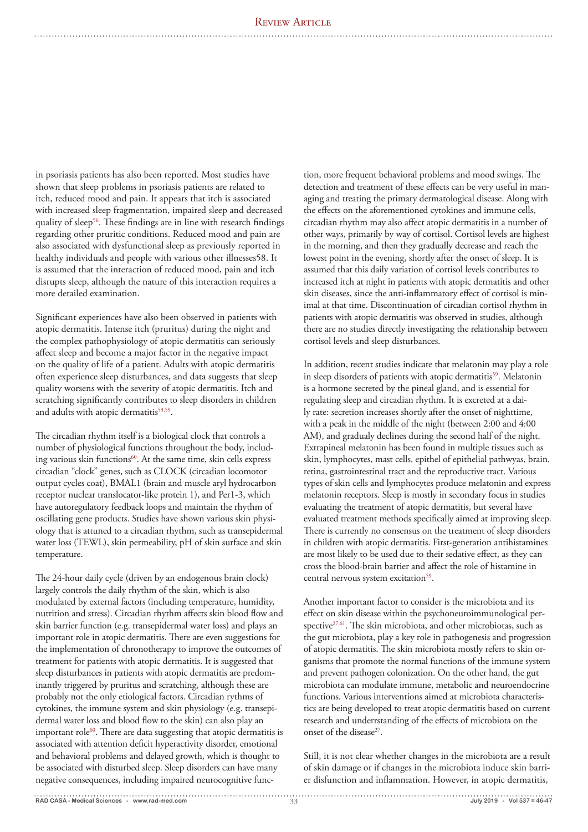in psoriasis patients has also been reported. Most studies have shown that sleep problems in psoriasis patients are related to itch, reduced mood and pain. It appears that itch is associated with increased sleep fragmentation, impaired sleep and decreased quality of sleep<sup>56</sup>. These findings are in line with research findings regarding other pruritic conditions. Reduced mood and pain are also associated with dysfunctional sleep as previously reported in healthy individuals and people with various other illnesses58. It is assumed that the interaction of reduced mood, pain and itch disrupts sleep, although the nature of this interaction requires a more detailed examination.

Significant experiences have also been observed in patients with atopic dermatitis. Intense itch (pruritus) during the night and the complex pathophysiology of atopic dermatitis can seriously affect sleep and become a major factor in the negative impact on the quality of life of a patient. Adults with atopic dermatitis often experience sleep disturbances, and data suggests that sleep quality worsens with the severity of atopic dermatitis. Itch and scratching significantly contributes to sleep disorders in children and adults with atopic dermatitis53,59.

The circadian rhythm itself is a biological clock that controls a number of physiological functions throughout the body, including various skin functions<sup>60</sup>. At the same time, skin cells express circadian "clock" genes, such as CLOCK (circadian locomotor output cycles coat), BMAL1 (brain and muscle aryl hydrocarbon receptor nuclear translocator-like protein 1), and Per1-3, which have autoregulatory feedback loops and maintain the rhythm of oscillating gene products. Studies have shown various skin physiology that is attuned to a circadian rhythm, such as transepidermal water loss (TEWL), skin permeability, pH of skin surface and skin temperature.

The 24-hour daily cycle (driven by an endogenous brain clock) largely controls the daily rhythm of the skin, which is also modulated by external factors (including temperature, humidity, nutrition and stress). Circadian rhythm affects skin blood flow and skin barrier function (e.g. transepidermal water loss) and plays an important role in atopic dermatitis. There are even suggestions for the implementation of chronotherapy to improve the outcomes of treatment for patients with atopic dermatitis. It is suggested that sleep disturbances in patients with atopic dermatitis are predominantly triggered by pruritus and scratching, although these are probably not the only etiological factors. Circadian rythms of cytokines, the immune system and skin physiology (e.g. transepidermal water loss and blood flow to the skin) can also play an important role<sup>60</sup>. There are data suggesting that atopic dermatitis is associated with attention deficit hyperactivity disorder, emotional and behavioral problems and delayed growth, which is thought to be associated with disturbed sleep. Sleep disorders can have many negative consequences, including impaired neurocognitive function, more frequent behavioral problems and mood swings. The detection and treatment of these effects can be very useful in managing and treating the primary dermatological disease. Along with the effects on the aforementioned cytokines and immune cells, circadian rhythm may also affect atopic dermatitis in a number of other ways, primarily by way of cortisol. Cortisol levels are highest in the morning, and then they gradually decrease and reach the lowest point in the evening, shortly after the onset of sleep. It is assumed that this daily variation of cortisol levels contributes to increased itch at night in patients with atopic dermatitis and other skin diseases, since the anti-inflammatory effect of cortisol is minimal at that time. Discontinuation of circadian cortisol rhythm in patients with atopic dermatitis was observed in studies, although there are no studies directly investigating the relationship between cortisol levels and sleep disturbances.

In addition, recent studies indicate that melatonin may play a role in sleep disorders of patients with atopic dermatitis<sup>59</sup>. Melatonin is a hormone secreted by the pineal gland, and is essential for regulating sleep and circadian rhythm. It is excreted at a daily rate: secretion increases shortly after the onset of nighttime, with a peak in the middle of the night (between 2:00 and 4:00 AM), and gradualy declines during the second half of the night. Extrapineal melatonin has been found in multiple tissues such as skin, lymphocytes, mast cells, epithel of epithelial pathwyas, brain, retina, gastrointestinal tract and the reproductive tract. Various types of skin cells and lymphocytes produce melatonin and express melatonin receptors. Sleep is mostly in secondary focus in studies evaluating the treatment of atopic dermatitis, but several have evaluated treatment methods specifically aimed at improving sleep. There is currently no consensus on the treatment of sleep disorders in children with atopic dermatitis. First-generation antihistamines are most likely to be used due to their sedative effect, as they can cross the blood-brain barrier and affect the role of histamine in central nervous system excitation<sup>59</sup>.

Another important factor to consider is the microbiota and its effect on skin disease within the psychoneuroimmunological perspective<sup>27,61</sup>. The skin microbiota, and other microbiotas, such as the gut microbiota, play a key role in pathogenesis and progression of atopic dermatitis. The skin microbiota mostly refers to skin organisms that promote the normal functions of the immune system and prevent pathogen colonization. On the other hand, the gut microbiota can modulate immune, metabolic and neuroendocrine functions. Various interventions aimed at microbiota characteristics are being developed to treat atopic dermatitis based on current research and underrstanding of the effects of microbiota on the onset of the disease27.

Still, it is not clear whether changes in the microbiota are a result of skin damage or if changes in the microbiota induce skin barrier disfunction and inflammation. However, in atopic dermatitis,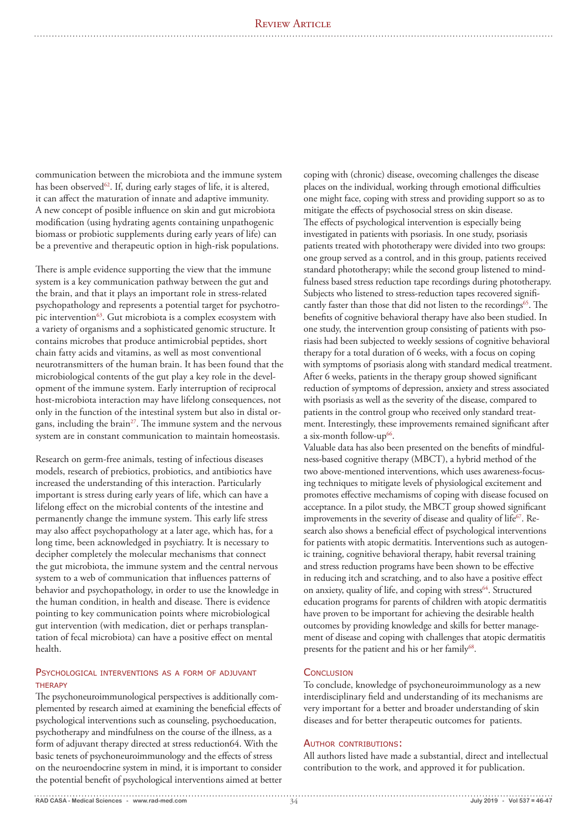communication between the microbiota and the immune system has been observed<sup>62</sup>. If, during early stages of life, it is altered, it can affect the maturation of innate and adaptive immunity. A new concept of posible influence on skin and gut microbiota modification (using hydrating agents containing unpathogenic biomass or probiotic supplements during early years of life) can be a preventive and therapeutic option in high-risk populations.

There is ample evidence supporting the view that the immune system is a key communication pathway between the gut and the brain, and that it plays an important role in stress-related psychopathology and represents a potential target for psychotropic intervention<sup>63</sup>. Gut microbiota is a complex ecosystem with a variety of organisms and a sophisticated genomic structure. It contains microbes that produce antimicrobial peptides, short chain fatty acids and vitamins, as well as most conventional neurotransmitters of the human brain. It has been found that the microbiological contents of the gut play a key role in the development of the immune system. Early interruption of reciprocal host-microbiota interaction may have lifelong consequences, not only in the function of the intestinal system but also in distal organs, including the brain<sup>27</sup>. The immune system and the nervous system are in constant communication to maintain homeostasis.

Research on germ-free animals, testing of infectious diseases models, research of prebiotics, probiotics, and antibiotics have increased the understanding of this interaction. Particularly important is stress during early years of life, which can have a lifelong effect on the microbial contents of the intestine and permanently change the immune system. This early life stress may also affect psychopathology at a later age, which has, for a long time, been acknowledged in psychiatry. It is necessary to decipher completely the molecular mechanisms that connect the gut microbiota, the immune system and the central nervous system to a web of communication that influences patterns of behavior and psychopathology, in order to use the knowledge in the human condition, in health and disease. There is evidence pointing to key communication points where microbiological gut intervention (with medication, diet or perhaps transplantation of fecal microbiota) can have a positive effect on mental health.

# Psychological interventions as <sup>a</sup> form of adjuvant therapy

The psychoneuroimmunological perspectives is additionally complemented by research aimed at examining the beneficial effects of psychological interventions such as counseling, psychoeducation, psychotherapy and mindfulness on the course of the illness, as a form of adjuvant therapy directed at stress reduction64. With the basic tenets of psychoneuroimmunology and the effects of stress on the neuroendocrine system in mind, it is important to consider the potential benefit of psychological interventions aimed at better

coping with (chronic) disease, ovecoming challenges the disease places on the individual, working through emotional difficulties one might face, coping with stress and providing support so as to mitigate the effects of psychosocial stress on skin disease. The effects of psychological intervention is especially being investigated in patients with psoriasis. In one study, psoriasis patients treated with phototherapy were divided into two groups: one group served as a control, and in this group, patients received standard phototherapy; while the second group listened to mindfulness based stress reduction tape recordings during phototherapy. Subjects who listened to stress-reduction tapes recovered significantly faster than those that did not listen to the recordings<sup>65</sup>. The benefits of cognitive behavioral therapy have also been studied. In one study, the intervention group consisting of patients with psoriasis had been subjected to weekly sessions of cognitive behavioral therapy for a total duration of 6 weeks, with a focus on coping with symptoms of psoriasis along with standard medical treatment. After 6 weeks, patients in the therapy group showed significant reduction of symptoms of depression, anxiety and stress associated with psoriasis as well as the severity of the disease, compared to patients in the control group who received only standard treatment. Interestingly, these improvements remained significant after a six-month follow-up<sup>66</sup>.

Valuable data has also been presented on the benefits of mindfulness-based cognitive therapy (MBCT), a hybrid method of the two above-mentioned interventions, which uses awareness-focusing techniques to mitigate levels of physiological excitement and promotes effective mechamisms of coping with disease focused on acceptance. In a pilot study, the MBCT group showed significant improvements in the severity of disease and quality of life<sup>67</sup>. Research also shows a beneficial effect of psychological interventions for patients with atopic dermatitis. Interventions such as autogenic training, cognitive behavioral therapy, habit reversal training and stress reduction programs have been shown to be effective in reducing itch and scratching, and to also have a positive effect on anxiety, quality of life, and coping with stress<sup>64</sup>. Structured education programs for parents of children with atopic dermatitis have proven to be important for achieving the desirable health outcomes by providing knowledge and skills for better management of disease and coping with challenges that atopic dermatitis presents for the patient and his or her family<sup>68</sup>.

# **CONCLUSION**

To conclude, knowledge of psychoneuroimmunology as a new interdisciplinary field and understanding of its mechanisms are very important for a better and broader understanding of skin diseases and for better therapeutic outcomes for patients.

# AUTHOR CONTRIBUTIONS'

All authors listed have made a substantial, direct and intellectual contribution to the work, and approved it for publication.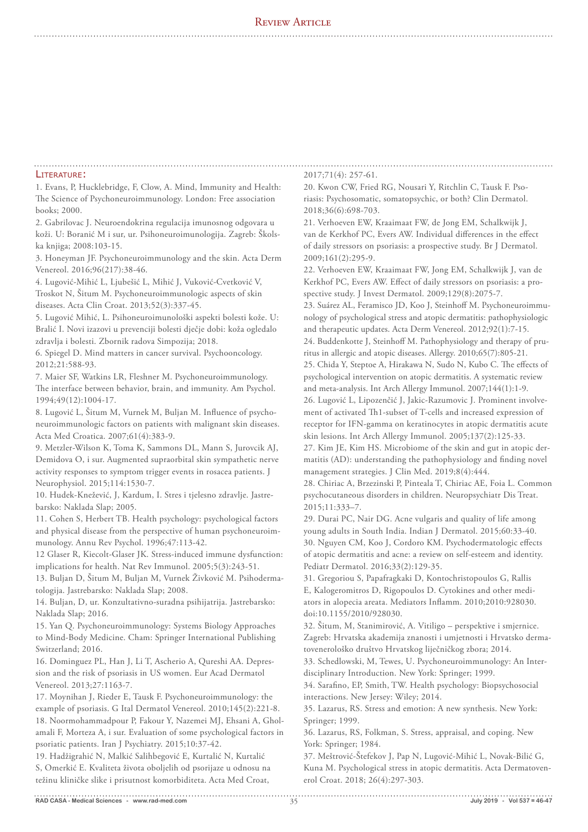# Review Article

#### LITERATURE:

1. Evans, P, Hucklebridge, F, Clow, A. Mind, Immunity and Health: The Science of Psychoneuroimmunology. London: Free association books; 2000.

2. Gabrilovac J. Neuroendokrina regulacija imunosnog odgovara u koži. U: Boranić M i sur, ur. Psihoneuroimunologija. Zagreb: Školska knjiga; 2008:103-15.

3. Honeyman JF. Psychoneuroimmunology and the skin. Acta Derm Venereol. 2016;96(217):38-46.

4. Lugović-Mihić L, Ljubešić L, Mihić J, Vuković-Cvetković V, Troskot N, Šitum M. Psychoneuroimmunologic aspects of skin diseases. Acta Clin Croat. 2013;52(3):337-45.

5. Lugović Mihić, L. Psihoneuroimunološki aspekti bolesti kože. U: Bralić I. Novi izazovi u prevenciji bolesti dječje dobi: koža ogledalo zdravlja i bolesti. Zbornik radova Simpozija; 2018.

6. Spiegel D. Mind matters in cancer survival. Psychooncology. 2012;21:588-93.

7. Maier SF, Watkins LR, Fleshner M. Psychoneuroimmunology. The interface between behavior, brain, and immunity. Am Psychol. 1994;49(12):1004-17.

8. Lugović L, Šitum M, Vurnek M, Buljan M. Influence of psychoneuroimmunologic factors on patients with malignant skin diseases. Acta Med Croatica. 2007;61(4):383-9.

9. Metzler-Wilson K, Toma K, Sammons DL, Mann S, Jurovcik AJ, Demidova O, i sur. Augmented supraorbital skin sympathetic nerve activity responses to symptom trigger events in rosacea patients. J Neurophysiol. 2015;114:1530-7.

10. Hudek-Knežević, J, Kardum, I. Stres i tjelesno zdravlje. Jastrebarsko: Naklada Slap; 2005.

11. Cohen S, Herbert TB. Health psychology: psychological factors and physical disease from the perspective of human psychoneuroimmunology. Annu Rev Psychol. 1996;47:113-42.

12 Glaser R, Kiecolt-Glaser JK. Stress-induced immune dysfunction: implications for health. Nat Rev Immunol. 2005;5(3):243-51.

13. Buljan D, Šitum M, Buljan M, Vurnek Živković M. Psihodermatologija. Jastrebarsko: Naklada Slap; 2008.

14. Buljan, D, ur. Konzultativno-suradna psihijatrija. Jastrebarsko: Naklada Slap; 2016.

15. Yan Q. Psychoneuroimmunology: Systems Biology Approaches to Mind-Body Medicine. Cham: Springer International Publishing Switzerland; 2016.

16. Dominguez PL, Han J, Li T, Ascherio A, Qureshi AA. Depression and the risk of psoriasis in US women. Eur Acad Dermatol Venereol. 2013;27:1163-7.

17. Moynihan J, Rieder E, Tausk F. Psychoneuroimmunology: the example of psoriasis. G Ital Dermatol Venereol. 2010;145(2):221-8. 18. Noormohammadpour P, Fakour Y, Nazemei MJ, Ehsani A, Gholamali F, Morteza A, i sur. Evaluation of some psychological factors in psoriatic patients. Iran J Psychiatry. 2015;10:37-42.

19. Hadžigrahić N, Malkić Salihbegović E, Kurtalić N, Kurtalić S, Omerkić E. Kvaliteta života oboljelih od psorijaze u odnosu na težinu kliničke slike i prisutnost komorbiditeta. Acta Med Croat,

#### 2017;71(4): 257-61.

20. Kwon CW, Fried RG, Nousari Y, Ritchlin C, Tausk F. Psoriasis: Psychosomatic, somatopsychic, or both? Clin Dermatol. 2018;36(6):698-703.

21. Verhoeven EW, Kraaimaat FW, de Jong EM, Schalkwijk J, van de Kerkhof PC, Evers AW. Individual differences in the effect of daily stressors on psoriasis: a prospective study. Br J Dermatol. 2009;161(2):295-9.

22. Verhoeven EW, Kraaimaat FW, Jong EM, Schalkwijk J, van de Kerkhof PC, Evers AW. Effect of daily stressors on psoriasis: a prospective study. J Invest Dermatol. 2009;129(8):2075-7.

23. Suárez AL, Feramisco JD, Koo J, Steinhoff M. Psychoneuroimmunology of psychological stress and atopic dermatitis: pathophysiologic and therapeutic updates. Acta Derm Venereol. 2012;92(1):7-15.

24. Buddenkotte J, Steinhoff M. Pathophysiology and therapy of pruritus in allergic and atopic diseases. Allergy. 2010;65(7):805-21.

25. Chida Y, Steptoe A, Hirakawa N, Sudo N, Kubo C. The effects of psychological intervention on atopic dermatitis. A systematic review and meta-analysis. Int Arch Allergy Immunol. 2007;144(1):1-9.

26. Lugović L, Lipozenčić J, Jakic-Razumovic J. Prominent involvement of activated Th1-subset of T-cells and increased expression of receptor for IFN-gamma on keratinocytes in atopic dermatitis acute skin lesions. Int Arch Allergy Immunol. 2005;137(2):125-33.

27. Kim JE, Kim HS. Microbiome of the skin and gut in atopic dermatitis (AD): understanding the pathophysiology and finding novel management strategies. J Clin Med. 2019;8(4):444.

28. Chiriac A, Brzezinski P, Pinteala T, Chiriac AE, Foia L. Common psychocutaneous disorders in children. Neuropsychiatr Dis Treat. 2015;11:333–7.

29. Durai PC, Nair DG. Acne vulgaris and quality of life among young adults in South India. Indian J Dermatol. 2015;60:33-40. 30. Nguyen CM, Koo J, Cordoro KM. Psychodermatologic effects of atopic dermatitis and acne: a review on self-esteem and identity. Pediatr Dermatol. 2016;33(2):129-35.

31. Gregoriou S, Papafragkaki D, Kontochristopoulos G, Rallis E, Kalogeromitros D, Rigopoulos D. Cytokines and other mediators in alopecia areata. Mediators Inflamm. 2010;2010:928030. doi:10.1155/2010/928030.

32. Šitum, M, Stanimirović, A. Vitiligo – perspektive i smjernice. Zagreb: Hrvatska akademija znanosti i umjetnosti i Hrvatsko dermatovenerološko društvo Hrvatskog liječničkog zbora; 2014.

33. Schedlowski, M, Tewes, U. Psychoneuroimmunology: An Interdisciplinary Introduction. New York: Springer; 1999.

34. Sarafino, EP, Smith, TW. Health psychology: Biopsychosocial interactions. New Jersey: Wiley; 2014.

35. Lazarus, RS. Stress and emotion: A new synthesis. New York: Springer; 1999.

36. Lazarus, RS, Folkman, S. Stress, appraisal, and coping. New York: Springer; 1984.

37. Meštrović-Štefekov J, Pap N, Lugović-Mihić L, Novak-Bilić G, Kuna M. Psychological stress in atopic dermatitis. Acta Dermatovenerol Croat. 2018; 26(4):297-303.